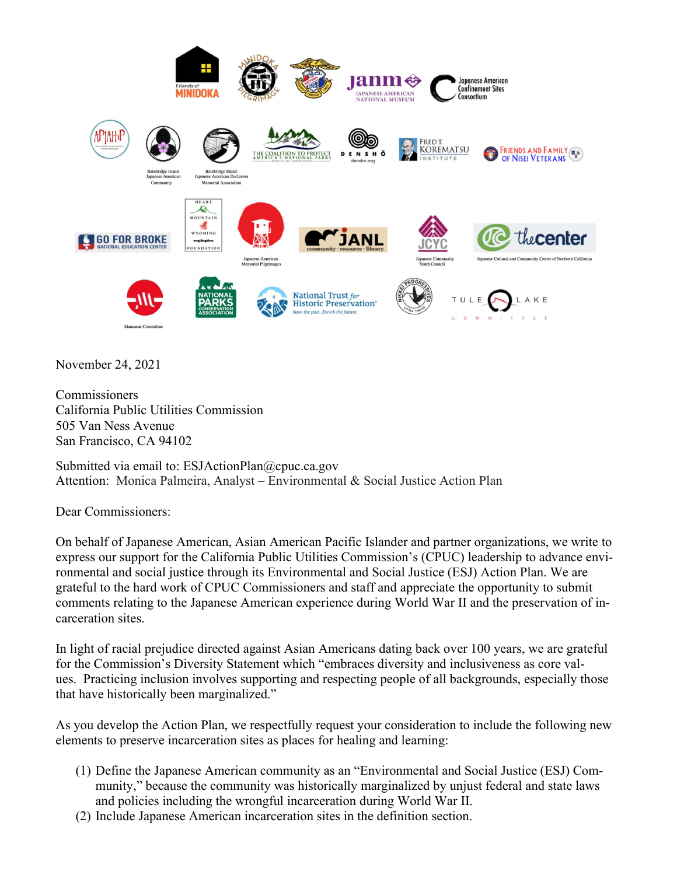

November 24, 2021

**Commissioners** California Public Utilities Commission 505 Van Ness Avenue San Francisco, CA 94102

Submitted via email to: ESJActionPlan@cpuc.ca.gov Attention: Monica Palmeira, Analyst – Environmental & Social Justice Action Plan

Dear Commissioners:

On behalf of Japanese American, Asian American Pacific Islander and partner organizations, we write to express our support for the California Public Utilities Commission's (CPUC) leadership to advance environmental and social justice through its Environmental and Social Justice (ESJ) Action Plan. We are grateful to the hard work of CPUC Commissioners and staff and appreciate the opportunity to submit comments relating to the Japanese American experience during World War II and the preservation of incarceration sites.

In light of racial prejudice directed against Asian Americans dating back over 100 years, we are grateful for the Commission's Diversity Statement which "embraces diversity and inclusiveness as core values. Practicing inclusion involves supporting and respecting people of all backgrounds, especially those that have historically been marginalized."

As you develop the Action Plan, we respectfully request your consideration to include the following new elements to preserve incarceration sites as places for healing and learning:

- (1) Define the Japanese American community as an "Environmental and Social Justice (ESJ) Community," because the community was historically marginalized by unjust federal and state laws and policies including the wrongful incarceration during World War II.
- (2) Include Japanese American incarceration sites in the definition section.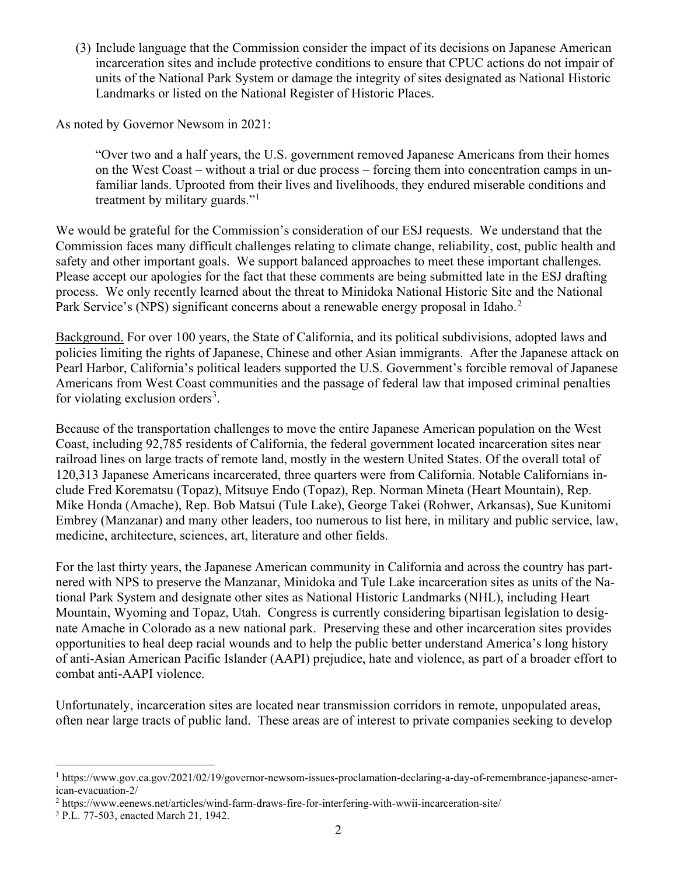(3) Include language that the Commission consider the impact of its decisions on Japanese American incarceration sites and include protective conditions to ensure that CPUC actions do not impair of units of the National Park System or damage the integrity of sites designated as National Historic Landmarks or listed on the National Register of Historic Places.

As noted by Governor Newsom in 2021:

"Over two and a half years, the U.S. government removed Japanese Americans from their homes on the West Coast – without a trial or due process – forcing them into concentration camps in unfamiliar lands. Uprooted from their lives and livelihoods, they endured miserable conditions and treatment by military guards."<sup>1</sup>

We would be grateful for the Commission's consideration of our ESJ requests. We understand that the Commission faces many difficult challenges relating to climate change, reliability, cost, public health and safety and other important goals. We support balanced approaches to meet these important challenges. Please accept our apologies for the fact that these comments are being submitted late in the ESJ drafting process. We only recently learned about the threat to Minidoka National Historic Site and the National Park Service's (NPS) significant concerns about a renewable energy proposal in Idaho.<sup>2</sup>

Background. For over 100 years, the State of California, and its political subdivisions, adopted laws and policies limiting the rights of Japanese, Chinese and other Asian immigrants. After the Japanese attack on Pearl Harbor, California's political leaders supported the U.S. Government's forcible removal of Japanese Americans from West Coast communities and the passage of federal law that imposed criminal penalties for violating exclusion orders<sup>3</sup>.

Because of the transportation challenges to move the entire Japanese American population on the West Coast, including 92,785 residents of California, the federal government located incarceration sites near railroad lines on large tracts of remote land, mostly in the western United States. Of the overall total of 120,313 Japanese Americans incarcerated, three quarters were from California. Notable Californians include Fred Korematsu (Topaz), Mitsuye Endo (Topaz), Rep. Norman Mineta (Heart Mountain), Rep. Mike Honda (Amache), Rep. Bob Matsui (Tule Lake), George Takei (Rohwer, Arkansas), Sue Kunitomi Embrey (Manzanar) and many other leaders, too numerous to list here, in military and public service, law, medicine, architecture, sciences, art, literature and other fields.

For the last thirty years, the Japanese American community in California and across the country has partnered with NPS to preserve the Manzanar, Minidoka and Tule Lake incarceration sites as units of the National Park System and designate other sites as National Historic Landmarks (NHL), including Heart Mountain, Wyoming and Topaz, Utah. Congress is currently considering bipartisan legislation to designate Amache in Colorado as a new national park. Preserving these and other incarceration sites provides opportunities to heal deep racial wounds and to help the public better understand America's long history of anti-Asian American Pacific Islander (AAPI) prejudice, hate and violence, as part of a broader effort to combat anti-AAPI violence.

Unfortunately, incarceration sites are located near transmission corridors in remote, unpopulated areas, often near large tracts of public land. These areas are of interest to private companies seeking to develop

<sup>&</sup>lt;sup>1</sup> https://www.gov.ca.gov/2021/02/19/governor-newsom-issues-proclamation-declaring-a-day-of-remembrance-japanese-american-evacuation-2/

<sup>&</sup>lt;sup>2</sup> https://www.eenews.net/articles/wind-farm-draws-fire-for-interfering-with-wwii-incarceration-site/

<sup>3</sup> P.L. 77-503, enacted March 21, 1942.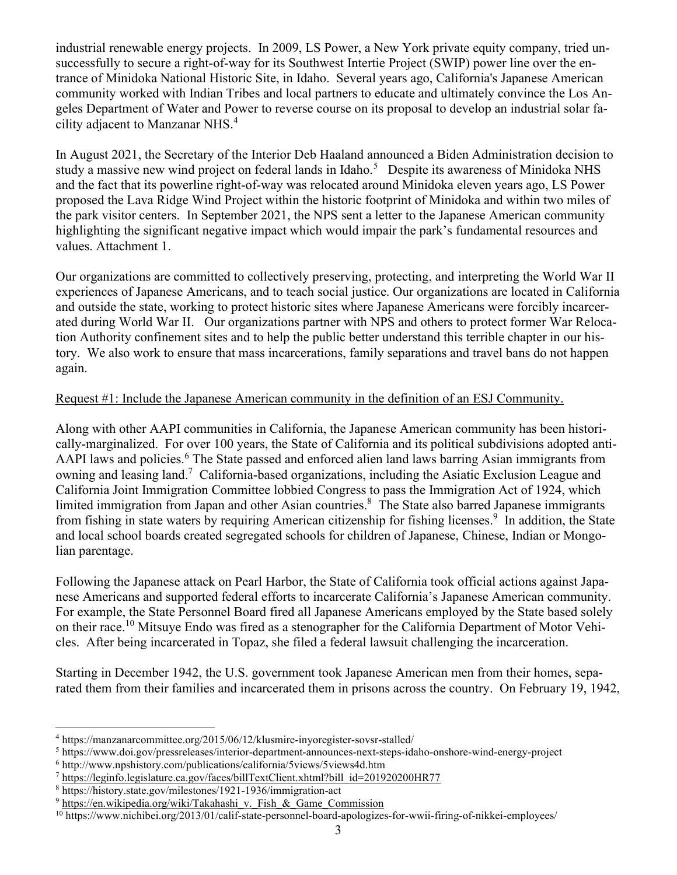industrial renewable energy projects. In 2009, LS Power, a New York private equity company, tried unsuccessfully to secure a right-of-way for its Southwest Intertie Project (SWIP) power line over the entrance of Minidoka National Historic Site, in Idaho. Several years ago, California's Japanese American community worked with Indian Tribes and local partners to educate and ultimately convince the Los Angeles Department of Water and Power to reverse course on its proposal to develop an industrial solar facility adjacent to Manzanar NHS.<sup>4</sup>

In August 2021, the Secretary of the Interior Deb Haaland announced a Biden Administration decision to study a massive new wind project on federal lands in Idaho.<sup>5</sup> Despite its awareness of Minidoka NHS and the fact that its powerline right-of-way was relocated around Minidoka eleven years ago, LS Power proposed the Lava Ridge Wind Project within the historic footprint of Minidoka and within two miles of the park visitor centers. In September 2021, the NPS sent a letter to the Japanese American community highlighting the significant negative impact which would impair the park's fundamental resources and values. Attachment 1.

Our organizations are committed to collectively preserving, protecting, and interpreting the World War II experiences of Japanese Americans, and to teach social justice. Our organizations are located in California and outside the state, working to protect historic sites where Japanese Americans were forcibly incarcerated during World War II. Our organizations partner with NPS and others to protect former War Relocation Authority confinement sites and to help the public better understand this terrible chapter in our history. We also work to ensure that mass incarcerations, family separations and travel bans do not happen again.

## Request #1: Include the Japanese American community in the definition of an ESJ Community.

Along with other AAPI communities in California, the Japanese American community has been historically-marginalized. For over 100 years, the State of California and its political subdivisions adopted anti-AAPI laws and policies.<sup>6</sup> The State passed and enforced alien land laws barring Asian immigrants from owning and leasing land.<sup>7</sup> California-based organizations, including the Asiatic Exclusion League and California Joint Immigration Committee lobbied Congress to pass the Immigration Act of 1924, which limited immigration from Japan and other Asian countries.<sup>8</sup> The State also barred Japanese immigrants from fishing in state waters by requiring American citizenship for fishing licenses.<sup>9</sup> In addition, the State and local school boards created segregated schools for children of Japanese, Chinese, Indian or Mongolian parentage.

Following the Japanese attack on Pearl Harbor, the State of California took official actions against Japanese Americans and supported federal efforts to incarcerate California's Japanese American community. For example, the State Personnel Board fired all Japanese Americans employed by the State based solely on their race.<sup>10</sup> Mitsuye Endo was fired as a stenographer for the California Department of Motor Vehicles. After being incarcerated in Topaz, she filed a federal lawsuit challenging the incarceration.

Starting in December 1942, the U.S. government took Japanese American men from their homes, separated them from their families and incarcerated them in prisons across the country. On February 19, 1942,

6 http://www.npshistory.com/publications/california/5views/5views4d.htm

<sup>4</sup> https://manzanarcommittee.org/2015/06/12/klusmire-inyoregister-sovsr-stalled/

<sup>5</sup> https://www.doi.gov/pressreleases/interior-department-announces-next-steps-idaho-onshore-wind-energy-project

<sup>&</sup>lt;sup>7</sup> https://leginfo.legislature.ca.gov/faces/billTextClient.xhtml?bill\_id=201920200HR77

<sup>8</sup> https://history.state.gov/milestones/1921-1936/immigration-act

<sup>&</sup>lt;sup>9</sup> https://en.wikipedia.org/wiki/Takahashi\_v. Fish & Game Commission

<sup>&</sup>lt;sup>10</sup> https://www.nichibei.org/2013/01/calif-state-personnel-board-apologizes-for-wwii-firing-of-nikkei-employees/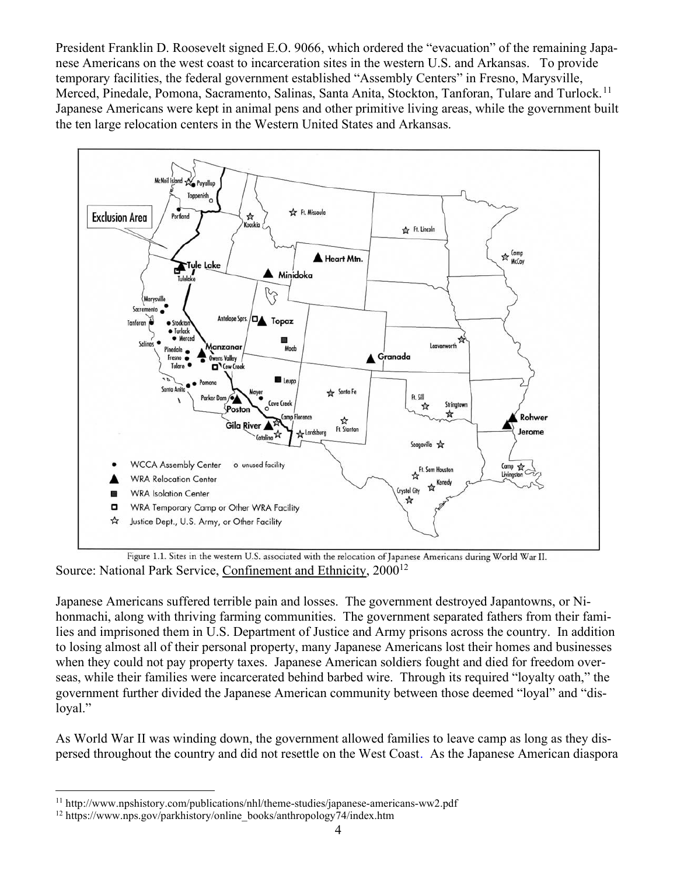President Franklin D. Roosevelt signed E.O. 9066, which ordered the "evacuation" of the remaining Japanese Americans on the west coast to incarceration sites in the western U.S. and Arkansas. To provide temporary facilities, the federal government established "Assembly Centers" in Fresno, Marysville, Merced, Pinedale, Pomona, Sacramento, Salinas, Santa Anita, Stockton, Tanforan, Tulare and Turlock.<sup>11</sup> Japanese Americans were kept in animal pens and other primitive living areas, while the government built the ten large relocation centers in the Western United States and Arkansas.



Figure 1.1. Sites in the western U.S. associated with the relocation of Japanese Americans during World War II. Source: National Park Service, Confinement and Ethnicity, 2000<sup>12</sup>

Japanese Americans suffered terrible pain and losses. The government destroyed Japantowns, or Nihonmachi, along with thriving farming communities. The government separated fathers from their families and imprisoned them in U.S. Department of Justice and Army prisons across the country. In addition to losing almost all of their personal property, many Japanese Americans lost their homes and businesses when they could not pay property taxes. Japanese American soldiers fought and died for freedom overseas, while their families were incarcerated behind barbed wire. Through its required "loyalty oath," the government further divided the Japanese American community between those deemed "loyal" and "disloyal."

As World War II was winding down, the government allowed families to leave camp as long as they dispersed throughout the country and did not resettle on the West Coast. As the Japanese American diaspora

<sup>&</sup>lt;sup>11</sup> http://www.npshistory.com/publications/nhl/theme-studies/japanese-americans-ww2.pdf

<sup>12</sup> https://www.nps.gov/parkhistory/online\_books/anthropology74/index.htm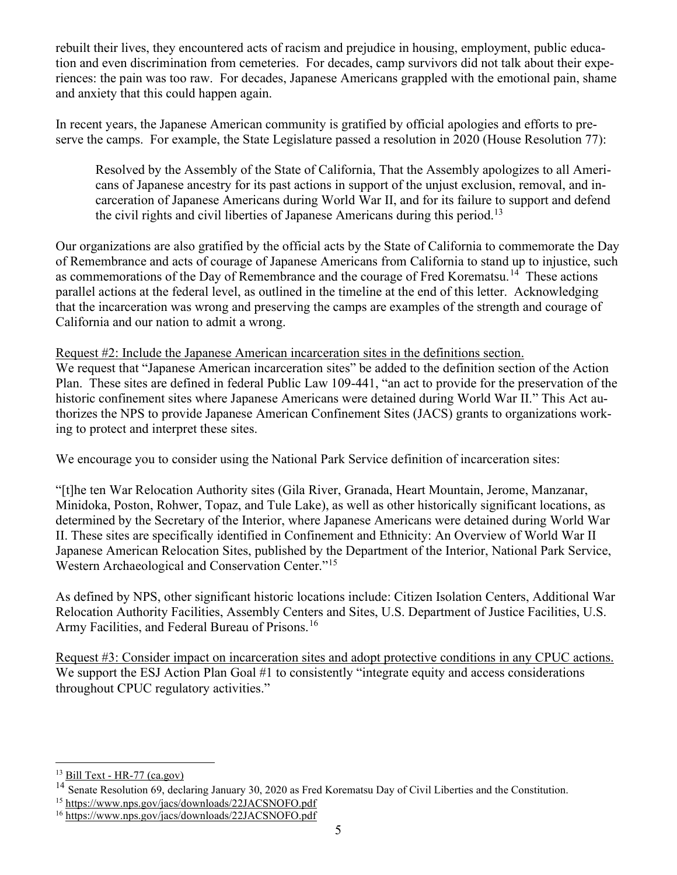rebuilt their lives, they encountered acts of racism and prejudice in housing, employment, public education and even discrimination from cemeteries. For decades, camp survivors did not talk about their experiences: the pain was too raw. For decades, Japanese Americans grappled with the emotional pain, shame and anxiety that this could happen again.

In recent years, the Japanese American community is gratified by official apologies and efforts to preserve the camps. For example, the State Legislature passed a resolution in 2020 (House Resolution 77):

Resolved by the Assembly of the State of California, That the Assembly apologizes to all Americans of Japanese ancestry for its past actions in support of the unjust exclusion, removal, and incarceration of Japanese Americans during World War II, and for its failure to support and defend the civil rights and civil liberties of Japanese Americans during this period.<sup>13</sup>

Our organizations are also gratified by the official acts by the State of California to commemorate the Day of Remembrance and acts of courage of Japanese Americans from California to stand up to injustice, such as commemorations of the Day of Remembrance and the courage of Fred Korematsu.<sup>14</sup> These actions parallel actions at the federal level, as outlined in the timeline at the end of this letter. Acknowledging that the incarceration was wrong and preserving the camps are examples of the strength and courage of California and our nation to admit a wrong.

Request #2: Include the Japanese American incarceration sites in the definitions section. We request that "Japanese American incarceration sites" be added to the definition section of the Action Plan. These sites are defined in federal Public Law 109-441, "an act to provide for the preservation of the historic confinement sites where Japanese Americans were detained during World War II." This Act authorizes the NPS to provide Japanese American Confinement Sites (JACS) grants to organizations working to protect and interpret these sites.

We encourage you to consider using the National Park Service definition of incarceration sites:

"[t]he ten War Relocation Authority sites (Gila River, Granada, Heart Mountain, Jerome, Manzanar, Minidoka, Poston, Rohwer, Topaz, and Tule Lake), as well as other historically significant locations, as determined by the Secretary of the Interior, where Japanese Americans were detained during World War II. These sites are specifically identified in Confinement and Ethnicity: An Overview of World War II Japanese American Relocation Sites, published by the Department of the Interior, National Park Service, Western Archaeological and Conservation Center."<sup>15</sup>

As defined by NPS, other significant historic locations include: Citizen Isolation Centers, Additional War Relocation Authority Facilities, Assembly Centers and Sites, U.S. Department of Justice Facilities, U.S. Army Facilities, and Federal Bureau of Prisons.<sup>16</sup>

Request #3: Consider impact on incarceration sites and adopt protective conditions in any CPUC actions. We support the ESJ Action Plan Goal #1 to consistently "integrate equity and access considerations throughout CPUC regulatory activities."

 $13$  Bill Text - HR-77 (ca.gov)

<sup>&</sup>lt;sup>14</sup> Senate Resolution 69, declaring January 30, 2020 as Fred Korematsu Day of Civil Liberties and the Constitution.

<sup>15</sup> https://www.nps.gov/jacs/downloads/22JACSNOFO.pdf

<sup>16</sup> https://www.nps.gov/jacs/downloads/22JACSNOFO.pdf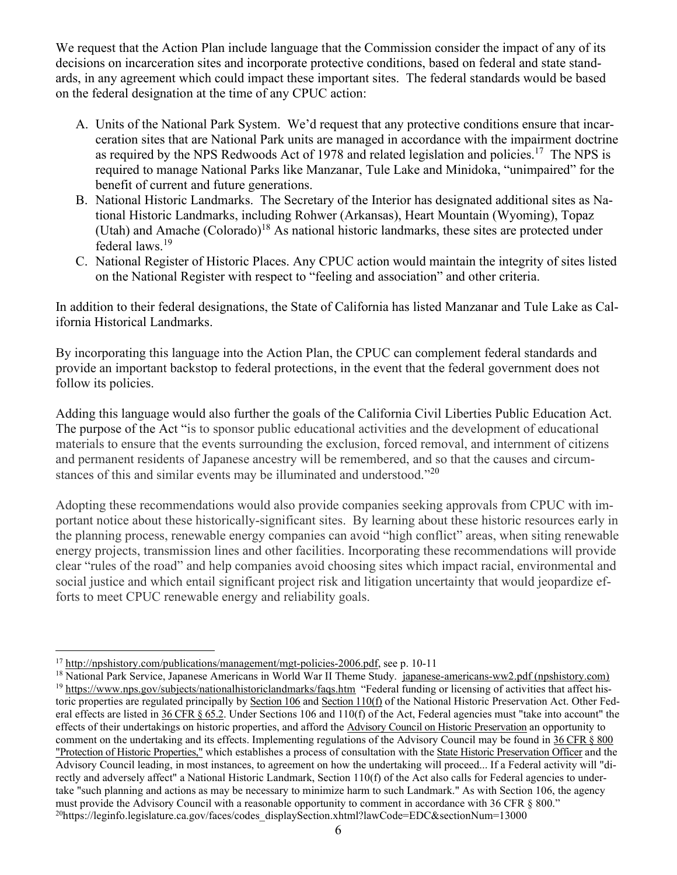We request that the Action Plan include language that the Commission consider the impact of any of its decisions on incarceration sites and incorporate protective conditions, based on federal and state standards, in any agreement which could impact these important sites. The federal standards would be based on the federal designation at the time of any CPUC action:

- A. Units of the National Park System. We'd request that any protective conditions ensure that incarceration sites that are National Park units are managed in accordance with the impairment doctrine as required by the NPS Redwoods Act of 1978 and related legislation and policies.<sup>17</sup> The NPS is required to manage National Parks like Manzanar, Tule Lake and Minidoka, "unimpaired" for the benefit of current and future generations.
- B. National Historic Landmarks. The Secretary of the Interior has designated additional sites as National Historic Landmarks, including Rohwer (Arkansas), Heart Mountain (Wyoming), Topaz (Utah) and Amache (Colorado)<sup>18</sup> As national historic landmarks, these sites are protected under federal laws.<sup>19</sup>
- C. National Register of Historic Places. Any CPUC action would maintain the integrity of sites listed on the National Register with respect to "feeling and association" and other criteria.

In addition to their federal designations, the State of California has listed Manzanar and Tule Lake as California Historical Landmarks.

By incorporating this language into the Action Plan, the CPUC can complement federal standards and provide an important backstop to federal protections, in the event that the federal government does not follow its policies.

Adding this language would also further the goals of the California Civil Liberties Public Education Act. The purpose of the Act "is to sponsor public educational activities and the development of educational materials to ensure that the events surrounding the exclusion, forced removal, and internment of citizens and permanent residents of Japanese ancestry will be remembered, and so that the causes and circumstances of this and similar events may be illuminated and understood."<sup>20</sup>

Adopting these recommendations would also provide companies seeking approvals from CPUC with important notice about these historically-significant sites. By learning about these historic resources early in the planning process, renewable energy companies can avoid "high conflict" areas, when siting renewable energy projects, transmission lines and other facilities. Incorporating these recommendations will provide clear "rules of the road" and help companies avoid choosing sites which impact racial, environmental and social justice and which entail significant project risk and litigation uncertainty that would jeopardize efforts to meet CPUC renewable energy and reliability goals.

<sup>&</sup>lt;sup>17</sup> http://npshistory.com/publications/management/mgt-policies-2006.pdf, see p. 10-11

<sup>18</sup> National Park Service, Japanese Americans in World War II Theme Study. japanese-americans-ww2.pdf (npshistory.com)

<sup>&</sup>lt;sup>19</sup> https://www.nps.gov/subjects/nationalhistoriclandmarks/faqs.htm "Federal funding or licensing of activities that affect historic properties are regulated principally by Section 106 and Section 110(f) of the National Historic Preservation Act. Other Federal effects are listed in 36 CFR § 65.2. Under Sections 106 and 110(f) of the Act, Federal agencies must "take into account" the effects of their undertakings on historic properties, and afford the Advisory Council on Historic Preservation an opportunity to comment on the undertaking and its effects. Implementing regulations of the Advisory Council may be found in 36 CFR § 800 "Protection of Historic Properties," which establishes a process of consultation with the State Historic Preservation Officer and the Advisory Council leading, in most instances, to agreement on how the undertaking will proceed... If a Federal activity will "directly and adversely affect" a National Historic Landmark, Section 110(f) of the Act also calls for Federal agencies to undertake "such planning and actions as may be necessary to minimize harm to such Landmark." As with Section 106, the agency must provide the Advisory Council with a reasonable opportunity to comment in accordance with 36 CFR § 800."  $^{20}$ https://leginfo.legislature.ca.gov/faces/codes\_displaySection.xhtml?lawCode=EDC&sectionNum=13000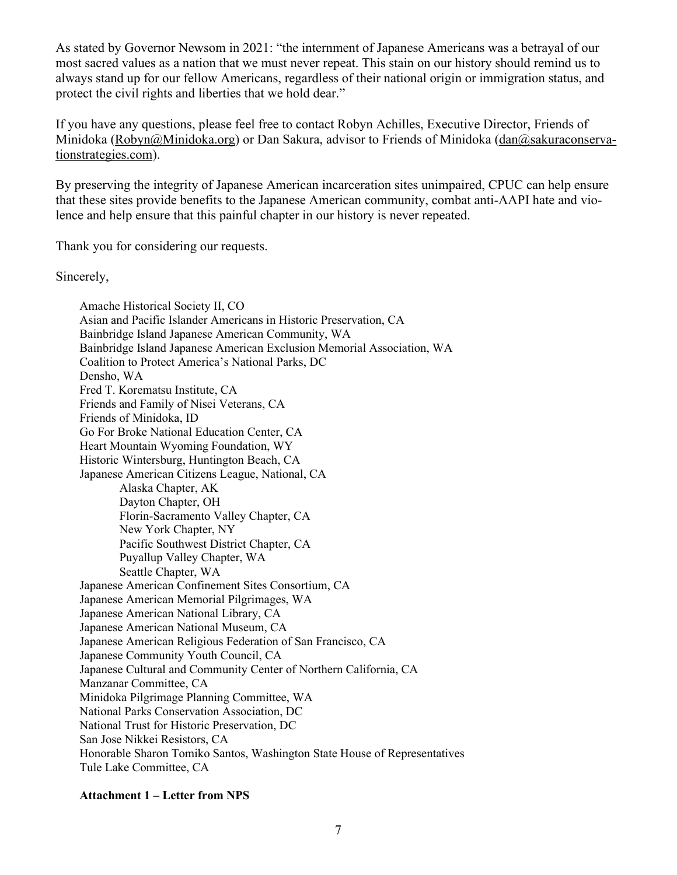As stated by Governor Newsom in 2021: "the internment of Japanese Americans was a betrayal of our most sacred values as a nation that we must never repeat. This stain on our history should remind us to always stand up for our fellow Americans, regardless of their national origin or immigration status, and protect the civil rights and liberties that we hold dear."

If you have any questions, please feel free to contact Robyn Achilles, Executive Director, Friends of Minidoka (Robyn@Minidoka.org) or Dan Sakura, advisor to Friends of Minidoka (dan@sakuraconservationstrategies.com).

By preserving the integrity of Japanese American incarceration sites unimpaired, CPUC can help ensure that these sites provide benefits to the Japanese American community, combat anti-AAPI hate and violence and help ensure that this painful chapter in our history is never repeated.

Thank you for considering our requests.

Sincerely,

Amache Historical Society II, CO Asian and Pacific Islander Americans in Historic Preservation, CA Bainbridge Island Japanese American Community, WA Bainbridge Island Japanese American Exclusion Memorial Association, WA Coalition to Protect America's National Parks, DC Densho, WA Fred T. Korematsu Institute, CA Friends and Family of Nisei Veterans, CA Friends of Minidoka, ID Go For Broke National Education Center, CA Heart Mountain Wyoming Foundation, WY Historic Wintersburg, Huntington Beach, CA Japanese American Citizens League, National, CA Alaska Chapter, AK Dayton Chapter, OH Florin-Sacramento Valley Chapter, CA New York Chapter, NY Pacific Southwest District Chapter, CA Puyallup Valley Chapter, WA Seattle Chapter, WA Japanese American Confinement Sites Consortium, CA Japanese American Memorial Pilgrimages, WA Japanese American National Library, CA Japanese American National Museum, CA Japanese American Religious Federation of San Francisco, CA Japanese Community Youth Council, CA Japanese Cultural and Community Center of Northern California, CA Manzanar Committee, CA Minidoka Pilgrimage Planning Committee, WA National Parks Conservation Association, DC National Trust for Historic Preservation, DC San Jose Nikkei Resistors, CA Honorable Sharon Tomiko Santos, Washington State House of Representatives Tule Lake Committee, CA

## Attachment 1 – Letter from NPS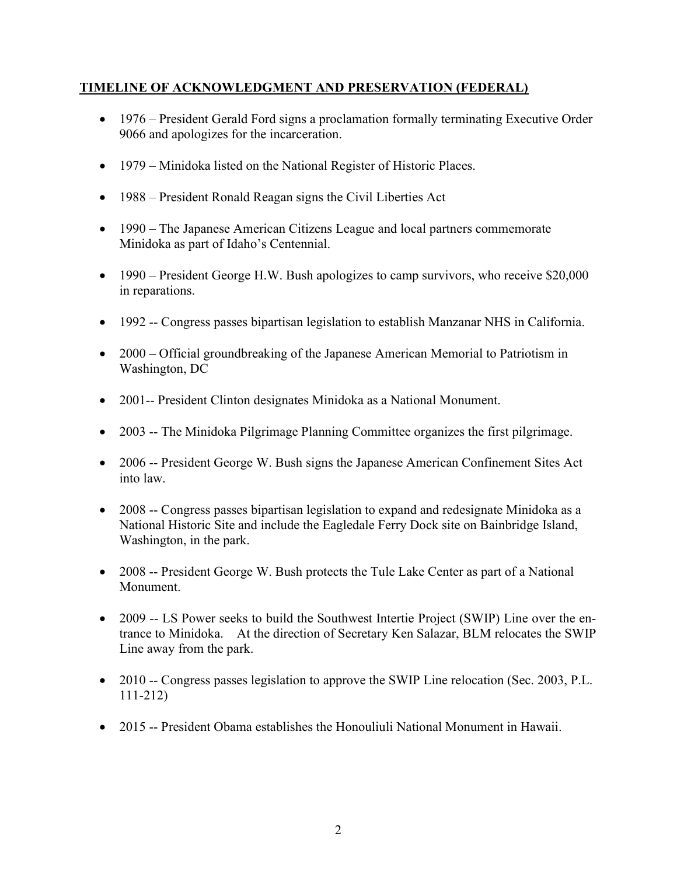## TIMELINE OF ACKNOWLEDGMENT AND PRESERVATION (FEDERAL)

- 1976 President Gerald Ford signs a proclamation formally terminating Executive Order 9066 and apologizes for the incarceration.
- 1979 Minidoka listed on the National Register of Historic Places.
- 1988 President Ronald Reagan signs the Civil Liberties Act
- 1990 The Japanese American Citizens League and local partners commemorate Minidoka as part of Idaho's Centennial.
- 1990 President George H.W. Bush apologizes to camp survivors, who receive \$20,000 in reparations.
- 1992 -- Congress passes bipartisan legislation to establish Manzanar NHS in California.
- 2000 Official groundbreaking of the Japanese American Memorial to Patriotism in Washington, DC
- 2001-- President Clinton designates Minidoka as a National Monument.
- 2003 -- The Minidoka Pilgrimage Planning Committee organizes the first pilgrimage.
- 2006 -- President George W. Bush signs the Japanese American Confinement Sites Act into law.
- 2008 -- Congress passes bipartisan legislation to expand and redesignate Minidoka as a National Historic Site and include the Eagledale Ferry Dock site on Bainbridge Island, Washington, in the park.
- 2008 -- President George W. Bush protects the Tule Lake Center as part of a National Monument.
- 2009 -- LS Power seeks to build the Southwest Intertie Project (SWIP) Line over the entrance to Minidoka. At the direction of Secretary Ken Salazar, BLM relocates the SWIP Line away from the park.
- 2010 -- Congress passes legislation to approve the SWIP Line relocation (Sec. 2003, P.L. 111-212)
- 2015 -- President Obama establishes the Honouliuli National Monument in Hawaii.